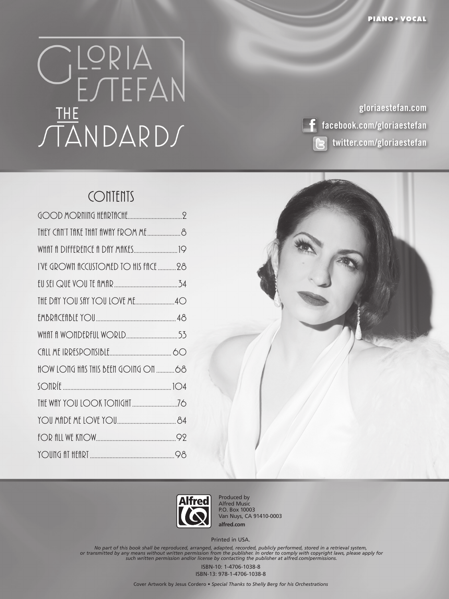## 

**gloriaestefan.com facebook.com/gloriaestefan twitter.com/gloriaestefan**

## **CONTENTS**

| I'VE GROWN fICCUSTOMED TO HIS FFICE 28 |  |
|----------------------------------------|--|
|                                        |  |
| THE DAY YOU SAY YOU LOVE ME40          |  |
|                                        |  |
|                                        |  |
|                                        |  |
|                                        |  |
|                                        |  |
|                                        |  |
|                                        |  |
|                                        |  |
|                                        |  |





Produced by Alfred Music P.O. Box 10003 Van Nuys, CA 91410-0003 **alfred.com**

Printed in USA.

No part of this book shall be reproduced, arranged, adapted, recorded, publicly performed, stored in a retrieval system,<br>or transmitted by any means without written permission from the publisher. In order to comply with co

ISBN-10: 1-4706-1038-8 ISBN-13: 978-1-4706-1038-8

Cover Artwork by Jesus Cordero • *Special Thanks to Shelly Berg for his Orchestrations*